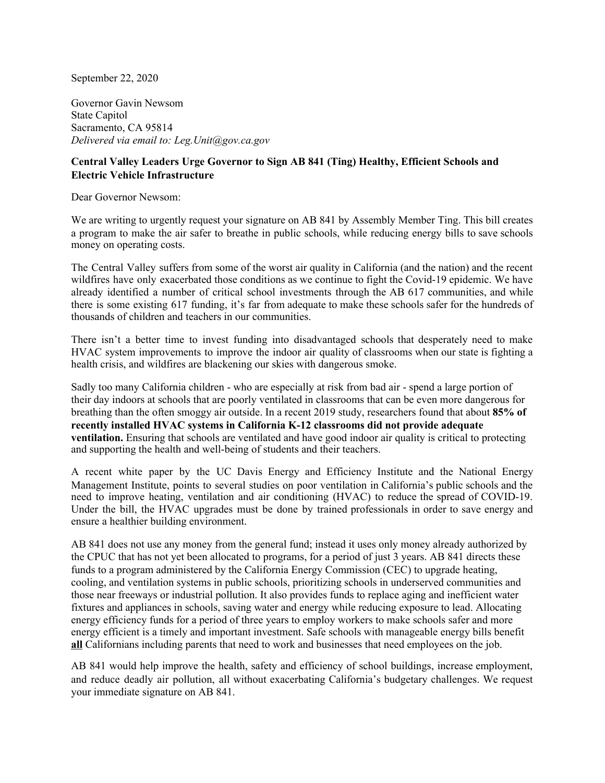September 22, 2020

Governor Gavin Newsom State Capitol Sacramento, CA 95814 *Delivered via email to: Leg.Unit@gov.ca.gov*

## **Central Valley Leaders Urge Governor to Sign AB 841 (Ting) Healthy, Efficient Schools and Electric Vehicle Infrastructure**

Dear Governor Newsom:

We are writing to urgently request your signature on AB 841 by Assembly Member Ting. This bill creates a program to make the air safer to breathe in public schools, while reducing energy bills to save schools money on operating costs.

The Central Valley suffers from some of the worst air quality in California (and the nation) and the recent wildfires have only exacerbated those conditions as we continue to fight the Covid-19 epidemic. We have already identified a number of critical school investments through the AB 617 communities, and while there is some existing 617 funding, it's far from adequate to make these schools safer for the hundreds of thousands of children and teachers in our communities.

There isn't a better time to invest funding into disadvantaged schools that desperately need to make HVAC system improvements to improve the indoor air quality of classrooms when our state is fighting a health crisis, and wildfires are blackening our skies with dangerous smoke.

Sadly too many California children - who are especially at risk from bad air - spend a large portion of their day indoors at schools that are poorly ventilated in classrooms that can be even more dangerous for breathing than the often smoggy air outside. In a recent 2019 study, researchers found that about **85% of recently installed HVAC systems in California K-12 classrooms did not provide adequate ventilation.** Ensuring that schools are ventilated and have good indoor air quality is critical to protecting and supporting the health and well-being of students and their teachers.

A recent white paper by the UC Davis Energy and Efficiency Institute and the National Energy Management Institute, points to several studies on poor ventilation in California's public schools and the need to improve heating, ventilation and air conditioning (HVAC) to reduce the spread of COVID-19. Under the bill, the HVAC upgrades must be done by trained professionals in order to save energy and ensure a healthier building environment.

AB 841 does not use any money from the general fund; instead it uses only money already authorized by the CPUC that has not yet been allocated to programs, for a period of just 3 years. AB 841 directs these funds to a program administered by the California Energy Commission (CEC) to upgrade heating, cooling, and ventilation systems in public schools, prioritizing schools in underserved communities and those near freeways or industrial pollution. It also provides funds to replace aging and inefficient water fixtures and appliances in schools, saving water and energy while reducing exposure to lead. Allocating energy efficiency funds for a period of three years to employ workers to make schools safer and more energy efficient is a timely and important investment. Safe schools with manageable energy bills benefit **all** Californians including parents that need to work and businesses that need employees on the job.

AB 841 would help improve the health, safety and efficiency of school buildings, increase employment, and reduce deadly air pollution, all without exacerbating California's budgetary challenges. We request your immediate signature on AB 841.